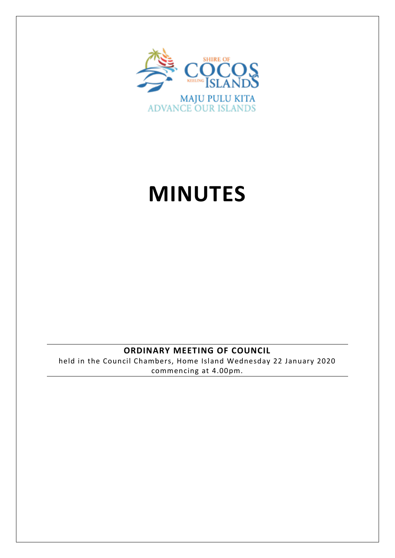

# **MINUTES**

## **ORDINARY MEETING OF COUNCIL**

held in the Council Chambers, Home Island Wednesday 22 January 2020 commencing at 4.00pm.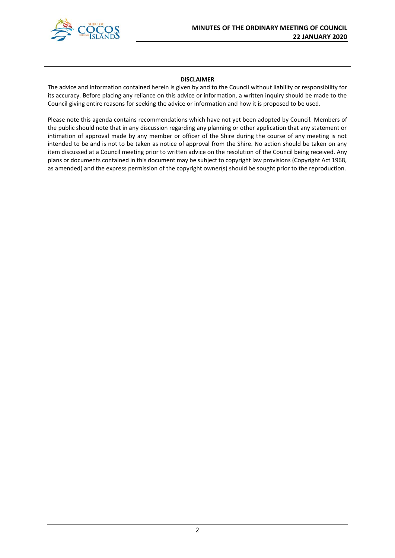

#### **DISCLAIMER**

The advice and information contained herein is given by and to the Council without liability or responsibility for its accuracy. Before placing any reliance on this advice or information, a written inquiry should be made to the Council giving entire reasons for seeking the advice or information and how it is proposed to be used.

Please note this agenda contains recommendations which have not yet been adopted by Council. Members of the public should note that in any discussion regarding any planning or other application that any statement or intimation of approval made by any member or officer of the Shire during the course of any meeting is not intended to be and is not to be taken as notice of approval from the Shire. No action should be taken on any item discussed at a Council meeting prior to written advice on the resolution of the Council being received. Any plans or documents contained in this document may be subject to copyright law provisions (Copyright Act 1968, as amended) and the express permission of the copyright owner(s) should be sought prior to the reproduction.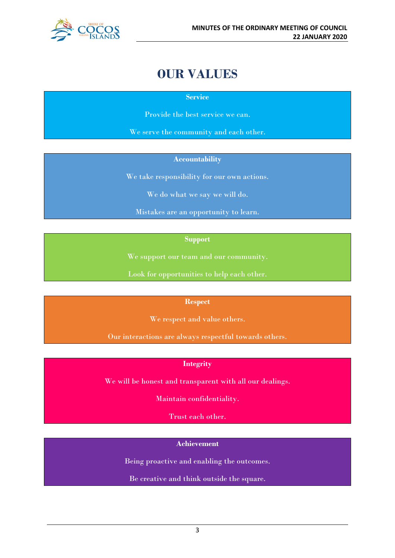

## **OUR VALUES**

#### **Service**

Provide the best service we can.

We serve the community and each other.

#### **Accountability**

We take responsibility for our own actions.

We do what we say we will do.

Mistakes are an opportunity to learn.

#### **Support**

We support our team and our community.

Look for opportunities to help each other.

#### **Respect**

We respect and value others.

Our interactions are always respectful towards others.

#### **Integrity**

We will be honest and transparent with all our dealings.

Maintain confidentiality.

Trust each other.

#### **Achievement**

Being proactive and enabling the outcomes.

Be creative and think outside the square.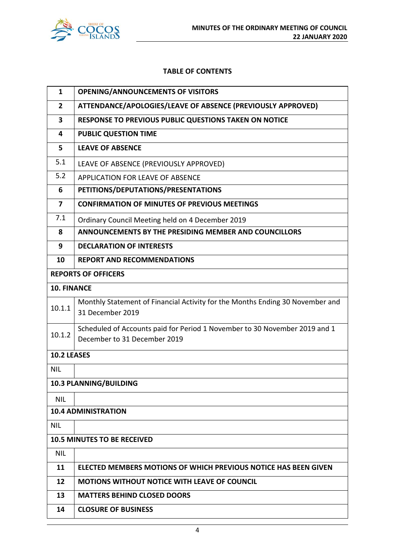

#### **TABLE OF CONTENTS**

| $\mathbf{1}$            | <b>OPENING/ANNOUNCEMENTS OF VISITORS</b>                                                                   |
|-------------------------|------------------------------------------------------------------------------------------------------------|
| $\overline{2}$          | ATTENDANCE/APOLOGIES/LEAVE OF ABSENCE (PREVIOUSLY APPROVED)                                                |
| $\overline{\mathbf{3}}$ | RESPONSE TO PREVIOUS PUBLIC QUESTIONS TAKEN ON NOTICE                                                      |
| 4                       | <b>PUBLIC QUESTION TIME</b>                                                                                |
| 5                       | <b>LEAVE OF ABSENCE</b>                                                                                    |
| 5.1                     | LEAVE OF ABSENCE (PREVIOUSLY APPROVED)                                                                     |
| 5.2                     | <b>APPLICATION FOR LEAVE OF ABSENCE</b>                                                                    |
| 6                       | PETITIONS/DEPUTATIONS/PRESENTATIONS                                                                        |
| $\overline{7}$          | <b>CONFIRMATION OF MINUTES OF PREVIOUS MEETINGS</b>                                                        |
| 7.1                     | Ordinary Council Meeting held on 4 December 2019                                                           |
| 8                       | ANNOUNCEMENTS BY THE PRESIDING MEMBER AND COUNCILLORS                                                      |
| 9                       | <b>DECLARATION OF INTERESTS</b>                                                                            |
| 10                      | <b>REPORT AND RECOMMENDATIONS</b>                                                                          |
|                         | <b>REPORTS OF OFFICERS</b>                                                                                 |
| <b>10. FINANCE</b>      |                                                                                                            |
| 10.1.1                  | Monthly Statement of Financial Activity for the Months Ending 30 November and<br>31 December 2019          |
| 10.1.2                  | Scheduled of Accounts paid for Period 1 November to 30 November 2019 and 1<br>December to 31 December 2019 |
| 10.2 LEASES             |                                                                                                            |
| <b>NIL</b>              |                                                                                                            |
|                         | 10.3 PLANNING/BUILDING                                                                                     |
| <b>NIL</b>              |                                                                                                            |
|                         | <b>10.4 ADMINISTRATION</b>                                                                                 |
| <b>NIL</b>              |                                                                                                            |
|                         | <b>10.5 MINUTES TO BE RECEIVED</b>                                                                         |
| <b>NIL</b>              |                                                                                                            |
| 11                      | ELECTED MEMBERS MOTIONS OF WHICH PREVIOUS NOTICE HAS BEEN GIVEN                                            |
| 12                      | <b>MOTIONS WITHOUT NOTICE WITH LEAVE OF COUNCIL</b>                                                        |
| 13                      | <b>MATTERS BEHIND CLOSED DOORS</b>                                                                         |
| 14                      | <b>CLOSURE OF BUSINESS</b>                                                                                 |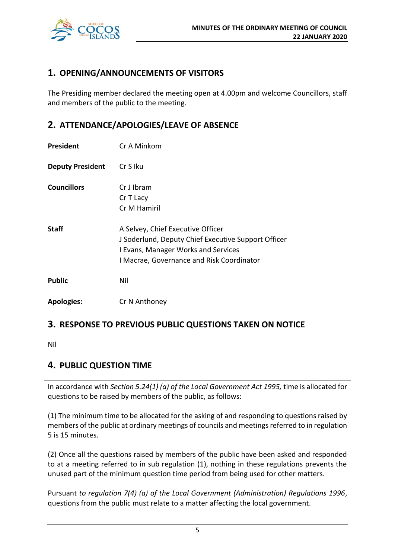

## **1. OPENING/ANNOUNCEMENTS OF VISITORS**

The Presiding member declared the meeting open at 4.00pm and welcome Councillors, staff and members of the public to the meeting.

## **2. ATTENDANCE/APOLOGIES/LEAVE OF ABSENCE**

| President               | Cr A Minkom                                                                                                                                                                         |
|-------------------------|-------------------------------------------------------------------------------------------------------------------------------------------------------------------------------------|
| <b>Deputy President</b> | Cr S Iku                                                                                                                                                                            |
| <b>Councillors</b>      | Cr J Ibram<br>Cr T Lacy<br>Cr M Hamiril                                                                                                                                             |
| <b>Staff</b>            | A Selvey, Chief Executive Officer<br>J Soderlund, Deputy Chief Executive Support Officer<br><b>I Evans, Manager Works and Services</b><br>I Macrae, Governance and Risk Coordinator |
| <b>Public</b>           | Nil                                                                                                                                                                                 |
| <b>Apologies:</b>       | Cr N Anthoney                                                                                                                                                                       |

## **3. RESPONSE TO PREVIOUS PUBLIC QUESTIONS TAKEN ON NOTICE**

Nil

## **4. PUBLIC QUESTION TIME**

In accordance with *Section 5.24(1) (a) of the Local Government Act 1995,* time is allocated for questions to be raised by members of the public, as follows:

(1) The minimum time to be allocated for the asking of and responding to questions raised by members of the public at ordinary meetings of councils and meetings referred to in regulation 5 is 15 minutes.

(2) Once all the questions raised by members of the public have been asked and responded to at a meeting referred to in sub regulation (1), nothing in these regulations prevents the unused part of the minimum question time period from being used for other matters.

Pursuant *to regulation 7(4) (a) of the Local Government (Administration) Regulations 1996*, questions from the public must relate to a matter affecting the local government.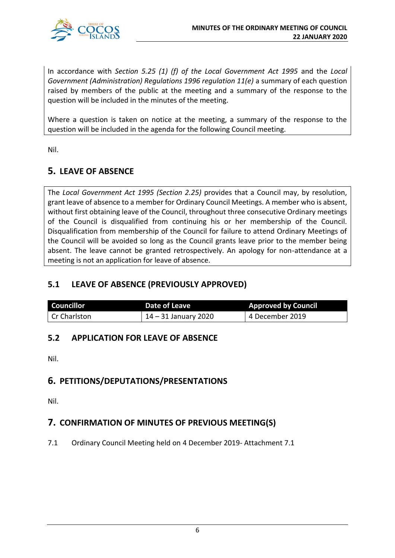

In accordance with *Section 5.25 (1) (f) of the Local Government Act 1995* and the *Local Government (Administration) Regulations 1996 regulation 11(e)* a summary of each question raised by members of the public at the meeting and a summary of the response to the question will be included in the minutes of the meeting.

Where a question is taken on notice at the meeting, a summary of the response to the question will be included in the agenda for the following Council meeting.

Nil.

## **5. LEAVE OF ABSENCE**

The *Local Government Act 1995 (Section 2.25)* provides that a Council may, by resolution, grant leave of absence to a member for Ordinary Council Meetings. A member who is absent, without first obtaining leave of the Council, throughout three consecutive Ordinary meetings of the Council is disqualified from continuing his or her membership of the Council. Disqualification from membership of the Council for failure to attend Ordinary Meetings of the Council will be avoided so long as the Council grants leave prior to the member being absent. The leave cannot be granted retrospectively. An apology for non-attendance at a meeting is not an application for leave of absence.

## **5.1 LEAVE OF ABSENCE (PREVIOUSLY APPROVED)**

| <b>Councillor</b> | Date of Leave          | <b>Approved by Council</b> |
|-------------------|------------------------|----------------------------|
| Cr Charlston      | $14 - 31$ January 2020 | 4 December 2019            |

## **5.2 APPLICATION FOR LEAVE OF ABSENCE**

Nil.

## **6. PETITIONS/DEPUTATIONS/PRESENTATIONS**

Nil.

## **7. CONFIRMATION OF MINUTES OF PREVIOUS MEETING(S)**

7.1 Ordinary Council Meeting held on 4 December 2019- Attachment 7.1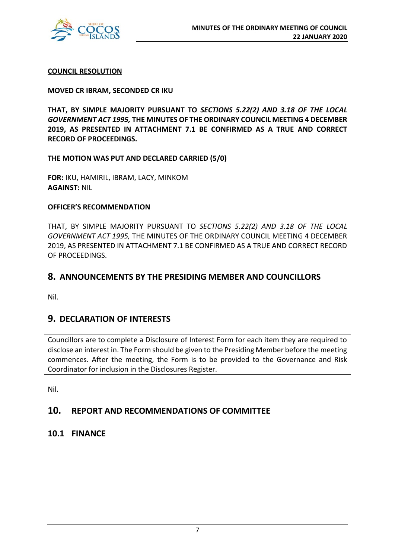

#### **COUNCIL RESOLUTION**

#### **MOVED CR IBRAM, SECONDED CR IKU**

**THAT, BY SIMPLE MAJORITY PURSUANT TO** *SECTIONS 5.22(2) AND 3.18 OF THE LOCAL GOVERNMENT ACT 1995,* **THE MINUTES OF THE ORDINARY COUNCIL MEETING 4 DECEMBER 2019, AS PRESENTED IN ATTACHMENT 7.1 BE CONFIRMED AS A TRUE AND CORRECT RECORD OF PROCEEDINGS.**

**THE MOTION WAS PUT AND DECLARED CARRIED (5/0)**

**FOR:** IKU, HAMIRIL, IBRAM, LACY, MINKOM **AGAINST:** NIL

#### **OFFICER'S RECOMMENDATION**

THAT, BY SIMPLE MAJORITY PURSUANT TO *SECTIONS 5.22(2) AND 3.18 OF THE LOCAL GOVERNMENT ACT 1995,* THE MINUTES OF THE ORDINARY COUNCIL MEETING 4 DECEMBER 2019, AS PRESENTED IN ATTACHMENT 7.1 BE CONFIRMED AS A TRUE AND CORRECT RECORD OF PROCEEDINGS.

## **8. ANNOUNCEMENTS BY THE PRESIDING MEMBER AND COUNCILLORS**

Nil.

## **9. DECLARATION OF INTERESTS**

Councillors are to complete a Disclosure of Interest Form for each item they are required to disclose an interest in. The Form should be given to the Presiding Member before the meeting commences. After the meeting, the Form is to be provided to the Governance and Risk Coordinator for inclusion in the Disclosures Register.

Nil.

## **10. REPORT AND RECOMMENDATIONS OF COMMITTEE**

### **10.1 FINANCE**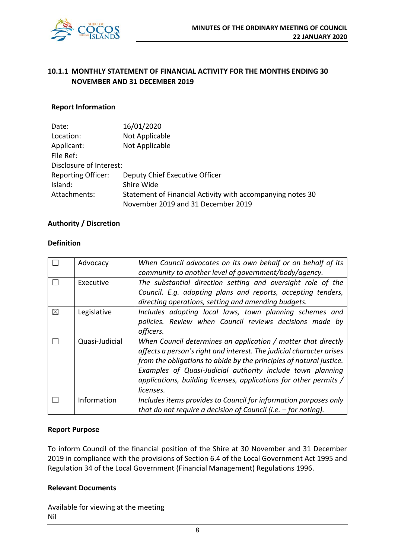

## **10.1.1 MONTHLY STATEMENT OF FINANCIAL ACTIVITY FOR THE MONTHS ENDING 30 NOVEMBER AND 31 DECEMBER 2019**

#### **Report Information**

| Date:                     | 16/01/2020                                                 |
|---------------------------|------------------------------------------------------------|
| Location:                 | Not Applicable                                             |
| Applicant:                | Not Applicable                                             |
| File Ref:                 |                                                            |
| Disclosure of Interest:   |                                                            |
| <b>Reporting Officer:</b> | Deputy Chief Executive Officer                             |
| Island:                   | Shire Wide                                                 |
| Attachments:              | Statement of Financial Activity with accompanying notes 30 |
|                           | November 2019 and 31 December 2019                         |

#### **Authority / Discretion**

#### **Definition**

|   | Advocacy       | When Council advocates on its own behalf or on behalf of its<br>community to another level of government/body/agency.                                                                                                                                                                                                                                        |
|---|----------------|--------------------------------------------------------------------------------------------------------------------------------------------------------------------------------------------------------------------------------------------------------------------------------------------------------------------------------------------------------------|
|   | Executive      | The substantial direction setting and oversight role of the<br>Council. E.g. adopting plans and reports, accepting tenders,<br>directing operations, setting and amending budgets.                                                                                                                                                                           |
| ⊠ | Legislative    | Includes adopting local laws, town planning schemes and<br>policies. Review when Council reviews decisions made by<br>officers.                                                                                                                                                                                                                              |
|   | Quasi-Judicial | When Council determines an application / matter that directly<br>affects a person's right and interest. The judicial character arises<br>from the obligations to abide by the principles of natural justice.<br>Examples of Quasi-Judicial authority include town planning<br>applications, building licenses, applications for other permits /<br>licenses. |
|   | Information    | Includes items provides to Council for information purposes only<br>that do not require a decision of Council (i.e. $-$ for noting).                                                                                                                                                                                                                         |

#### **Report Purpose**

To inform Council of the financial position of the Shire at 30 November and 31 December 2019 in compliance with the provisions of Section 6.4 of the Local Government Act 1995 and Regulation 34 of the Local Government (Financial Management) Regulations 1996.

#### **Relevant Documents**

Available for viewing at the meeting Nil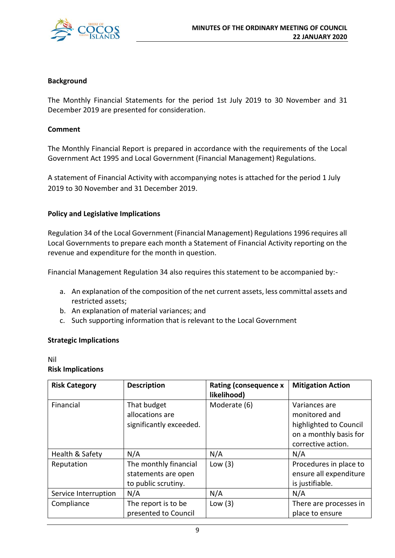

#### **Background**

The Monthly Financial Statements for the period 1st July 2019 to 30 November and 31 December 2019 are presented for consideration.

#### **Comment**

The Monthly Financial Report is prepared in accordance with the requirements of the Local Government Act 1995 and Local Government (Financial Management) Regulations.

A statement of Financial Activity with accompanying notes is attached for the period 1 July 2019 to 30 November and 31 December 2019.

#### **Policy and Legislative Implications**

Regulation 34 of the Local Government (Financial Management) Regulations 1996 requires all Local Governments to prepare each month a Statement of Financial Activity reporting on the revenue and expenditure for the month in question.

Financial Management Regulation 34 also requires this statement to be accompanied by:-

- a. An explanation of the composition of the net current assets, less committal assets and restricted assets;
- b. An explanation of material variances; and
- c. Such supporting information that is relevant to the Local Government

#### **Strategic Implications**

Nil **Risk Implications**

| <b>Risk Category</b>                                      | <b>Description</b>                                                        |           | <b>Mitigation Action</b>                                                                                 |
|-----------------------------------------------------------|---------------------------------------------------------------------------|-----------|----------------------------------------------------------------------------------------------------------|
| Financial                                                 | That budget<br>Moderate (6)<br>allocations are<br>significantly exceeded. |           | Variances are<br>monitored and<br>highlighted to Council<br>on a monthly basis for<br>corrective action. |
| Health & Safety                                           | N/A                                                                       | N/A       | N/A                                                                                                      |
| Reputation                                                | The monthly financial<br>statements are open<br>to public scrutiny.       | Low $(3)$ | Procedures in place to<br>ensure all expenditure<br>is justifiable.                                      |
| Service Interruption                                      | N/A                                                                       | N/A       | N/A                                                                                                      |
| Compliance<br>The report is to be<br>presented to Council |                                                                           | Low $(3)$ | There are processes in<br>place to ensure                                                                |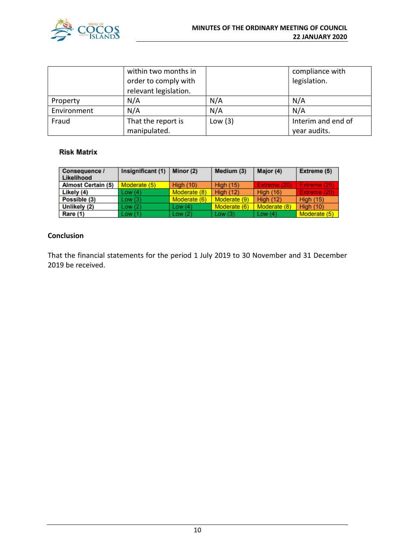

|                             | within two months in  |           | compliance with    |  |
|-----------------------------|-----------------------|-----------|--------------------|--|
|                             | order to comply with  |           | legislation.       |  |
|                             | relevant legislation. |           |                    |  |
| Property                    | N/A                   | N/A       | N/A                |  |
| N/A<br>Environment          |                       | N/A       | N/A                |  |
| Fraud<br>That the report is |                       | Low $(3)$ | Interim and end of |  |
|                             | manipulated.          |           | year audits.       |  |

#### **Risk Matrix**

| Consequence /<br>Likelihood | Insignificant (1) | Minor (2)        | Medium (3)       | Major (4)        | Extreme (5)      |
|-----------------------------|-------------------|------------------|------------------|------------------|------------------|
| <b>Almost Certain (5)</b>   | Moderate (5)      | <b>High (10)</b> | <b>High (15)</b> | Extreme (20)     | Extreme (25)     |
| Likely (4)                  | Low (4)           | Moderate (8)     | <b>High (12)</b> | <b>High (16)</b> | Extreme (20)     |
| Possible (3)                | Low(3)            | Moderate (6)     | Moderate (9)     | <b>High (12)</b> | <b>High (15)</b> |
| Unlikely (2)                | Low (2)           | Low(4)           | Moderate (6)     | Moderate (8)     | <b>High (10)</b> |
| Rare (1)                    | Low (1)           | Low $(2)$        | Low $(3)$        | Low $(4)$        | Moderate (5)     |

#### **Conclusion**

That the financial statements for the period 1 July 2019 to 30 November and 31 December 2019 be received.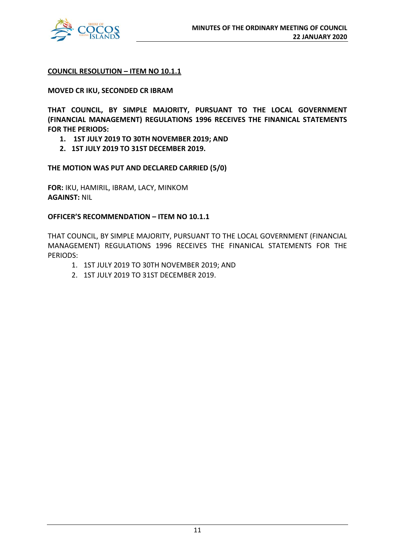

#### **COUNCIL RESOLUTION – ITEM NO 10.1.1**

#### **MOVED CR IKU, SECONDED CR IBRAM**

**THAT COUNCIL, BY SIMPLE MAJORITY, PURSUANT TO THE LOCAL GOVERNMENT (FINANCIAL MANAGEMENT) REGULATIONS 1996 RECEIVES THE FINANICAL STATEMENTS FOR THE PERIODS:**

- **1. 1ST JULY 2019 TO 30TH NOVEMBER 2019; AND**
- **2. 1ST JULY 2019 TO 31ST DECEMBER 2019.**

**THE MOTION WAS PUT AND DECLARED CARRIED (5/0)**

**FOR:** IKU, HAMIRIL, IBRAM, LACY, MINKOM **AGAINST:** NIL

#### **OFFICER'S RECOMMENDATION – ITEM NO 10.1.1**

THAT COUNCIL, BY SIMPLE MAJORITY, PURSUANT TO THE LOCAL GOVERNMENT (FINANCIAL MANAGEMENT) REGULATIONS 1996 RECEIVES THE FINANICAL STATEMENTS FOR THE PERIODS:

- 1. 1ST JULY 2019 TO 30TH NOVEMBER 2019; AND
- 2. 1ST JULY 2019 TO 31ST DECEMBER 2019.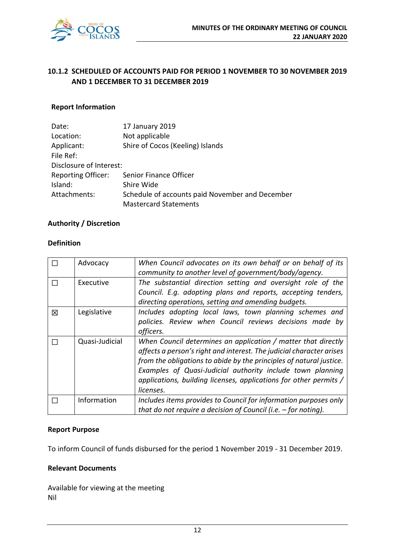

## **10.1.2 SCHEDULED OF ACCOUNTS PAID FOR PERIOD 1 NOVEMBER TO 30 NOVEMBER 2019 AND 1 DECEMBER TO 31 DECEMBER 2019**

#### **Report Information**

| Date:                   | 17 January 2019                                 |
|-------------------------|-------------------------------------------------|
| Location:               | Not applicable                                  |
| Applicant:              | Shire of Cocos (Keeling) Islands                |
| File Ref:               |                                                 |
| Disclosure of Interest: |                                                 |
| Reporting Officer:      | Senior Finance Officer                          |
| Island:                 | Shire Wide                                      |
| Attachments:            | Schedule of accounts paid November and December |
|                         | <b>Mastercard Statements</b>                    |

#### **Authority / Discretion**

#### **Definition**

|   | Advocacy       | When Council advocates on its own behalf or on behalf of its<br>community to another level of government/body/agency.                                                                                                                                                                                                                                        |
|---|----------------|--------------------------------------------------------------------------------------------------------------------------------------------------------------------------------------------------------------------------------------------------------------------------------------------------------------------------------------------------------------|
|   | Executive      | The substantial direction setting and oversight role of the<br>Council. E.g. adopting plans and reports, accepting tenders,<br>directing operations, setting and amending budgets.                                                                                                                                                                           |
| 図 | Legislative    | Includes adopting local laws, town planning schemes and<br>policies. Review when Council reviews decisions made by<br>officers.                                                                                                                                                                                                                              |
|   | Quasi-Judicial | When Council determines an application / matter that directly<br>affects a person's right and interest. The judicial character arises<br>from the obligations to abide by the principles of natural justice.<br>Examples of Quasi-Judicial authority include town planning<br>applications, building licenses, applications for other permits /<br>licenses. |
|   | Information    | Includes items provides to Council for information purposes only<br>that do not require a decision of Council (i.e. $-$ for noting).                                                                                                                                                                                                                         |

#### **Report Purpose**

To inform Council of funds disbursed for the period 1 November 2019 - 31 December 2019.

#### **Relevant Documents**

Available for viewing at the meeting Nil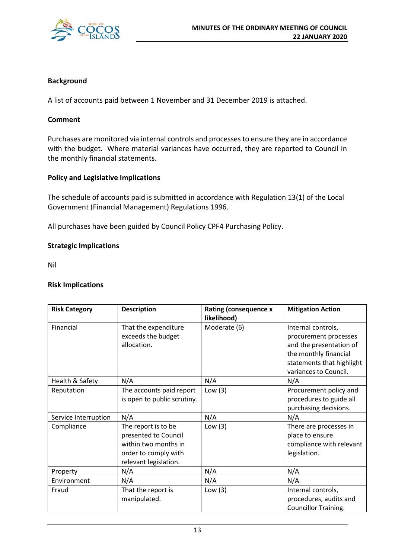

#### **Background**

A list of accounts paid between 1 November and 31 December 2019 is attached.

#### **Comment**

Purchases are monitored via internal controls and processes to ensure they are in accordance with the budget. Where material variances have occurred, they are reported to Council in the monthly financial statements.

#### **Policy and Legislative Implications**

The schedule of accounts paid is submitted in accordance with Regulation 13(1) of the Local Government (Financial Management) Regulations 1996.

All purchases have been guided by Council Policy CPF4 Purchasing Policy.

#### **Strategic Implications**

Nil

#### **Risk Implications**

| <b>Description</b><br><b>Risk Category</b>                             |                                                                                                                      | <b>Rating (consequence x</b><br>likelihood) | <b>Mitigation Action</b>                                                                                                                              |  |
|------------------------------------------------------------------------|----------------------------------------------------------------------------------------------------------------------|---------------------------------------------|-------------------------------------------------------------------------------------------------------------------------------------------------------|--|
| Financial<br>That the expenditure<br>exceeds the budget<br>allocation. |                                                                                                                      | Moderate (6)                                | Internal controls,<br>procurement processes<br>and the presentation of<br>the monthly financial<br>statements that highlight<br>variances to Council. |  |
| Health & Safety                                                        | N/A                                                                                                                  | N/A                                         | N/A                                                                                                                                                   |  |
| Reputation                                                             | The accounts paid report<br>is open to public scrutiny.                                                              | Low $(3)$                                   | Procurement policy and<br>procedures to guide all<br>purchasing decisions.                                                                            |  |
| N/A<br>Service Interruption                                            |                                                                                                                      | N/A                                         | N/A                                                                                                                                                   |  |
| Compliance                                                             | The report is to be<br>presented to Council<br>within two months in<br>order to comply with<br>relevant legislation. | Low $(3)$                                   | There are processes in<br>place to ensure<br>compliance with relevant<br>legislation.                                                                 |  |
| Property                                                               | N/A                                                                                                                  | N/A                                         | N/A                                                                                                                                                   |  |
| Environment                                                            | N/A                                                                                                                  | N/A                                         | N/A                                                                                                                                                   |  |
| Fraud                                                                  | That the report is<br>manipulated.                                                                                   | Low $(3)$                                   | Internal controls,<br>procedures, audits and<br><b>Councillor Training.</b>                                                                           |  |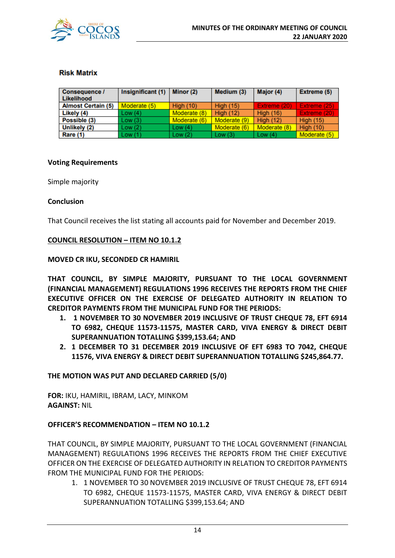

#### **Risk Matrix**

| <b>Consequence /</b><br>Likelihood | Insignificant (1) | Minor (2)        | Medium (3)       | Major (4)        | <b>Extreme (5)</b> |
|------------------------------------|-------------------|------------------|------------------|------------------|--------------------|
| <b>Almost Certain (5)</b>          | Moderate (5)      | <b>High (10)</b> | <b>High (15)</b> | Extreme (20)     | Extreme (25)       |
| Likely (4)                         | Low(4)            | Moderate (8)     | <b>High (12)</b> | <b>High (16)</b> | Extreme (20)       |
| Possible (3)                       | Low(3)            | Moderate (6)     | Moderate (9)     | High $(12)$      | <b>High (15)</b>   |
| Unlikely (2)                       | Low(2)            | Low $(4)$        | Moderate (6)     | Moderate (8)     | <b>High (10)</b>   |
| Rare (1)                           | Low(1)            | Low $(2)$        | Low $(3)$        | Low $(4)$        | Moderate (5)       |

#### **Voting Requirements**

Simple majority

#### **Conclusion**

That Council receives the list stating all accounts paid for November and December 2019.

#### **COUNCIL RESOLUTION – ITEM NO 10.1.2**

#### **MOVED CR IKU, SECONDED CR HAMIRIL**

**THAT COUNCIL, BY SIMPLE MAJORITY, PURSUANT TO THE LOCAL GOVERNMENT (FINANCIAL MANAGEMENT) REGULATIONS 1996 RECEIVES THE REPORTS FROM THE CHIEF EXECUTIVE OFFICER ON THE EXERCISE OF DELEGATED AUTHORITY IN RELATION TO CREDITOR PAYMENTS FROM THE MUNICIPAL FUND FOR THE PERIODS:**

- **1. 1 NOVEMBER TO 30 NOVEMBER 2019 INCLUSIVE OF TRUST CHEQUE 78, EFT 6914 TO 6982, CHEQUE 11573-11575, MASTER CARD, VIVA ENERGY & DIRECT DEBIT SUPERANNUATION TOTALLING \$399,153.64; AND**
- **2. 1 DECEMBER TO 31 DECEMBER 2019 INCLUSIVE OF EFT 6983 TO 7042, CHEQUE 11576, VIVA ENERGY & DIRECT DEBIT SUPERANNUATION TOTALLING \$245,864.77.**

#### **THE MOTION WAS PUT AND DECLARED CARRIED (5/0)**

**FOR:** IKU, HAMIRIL, IBRAM, LACY, MINKOM **AGAINST:** NIL

#### **OFFICER'S RECOMMENDATION – ITEM NO 10.1.2**

THAT COUNCIL, BY SIMPLE MAJORITY, PURSUANT TO THE LOCAL GOVERNMENT (FINANCIAL MANAGEMENT) REGULATIONS 1996 RECEIVES THE REPORTS FROM THE CHIEF EXECUTIVE OFFICER ON THE EXERCISE OF DELEGATED AUTHORITY IN RELATION TO CREDITOR PAYMENTS FROM THE MUNICIPAL FUND FOR THE PERIODS:

1. 1 NOVEMBER TO 30 NOVEMBER 2019 INCLUSIVE OF TRUST CHEQUE 78, EFT 6914 TO 6982, CHEQUE 11573-11575, MASTER CARD, VIVA ENERGY & DIRECT DEBIT SUPERANNUATION TOTALLING \$399,153.64; AND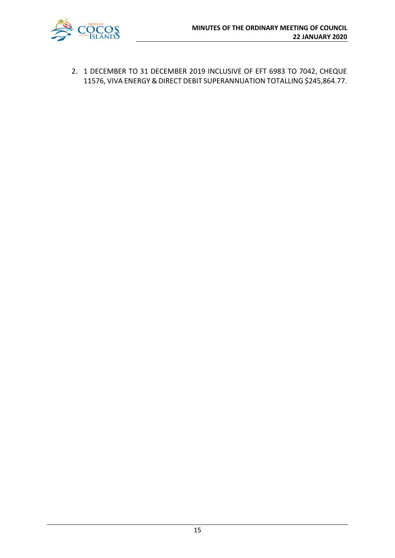

2. 1 DECEMBER TO 31 DECEMBER 2019 INCLUSIVE OF EFT 6983 TO 7042, CHEQUE 11576, VIVA ENERGY & DIRECT DEBIT SUPERANNUATION TOTALLING \$245,864.77.